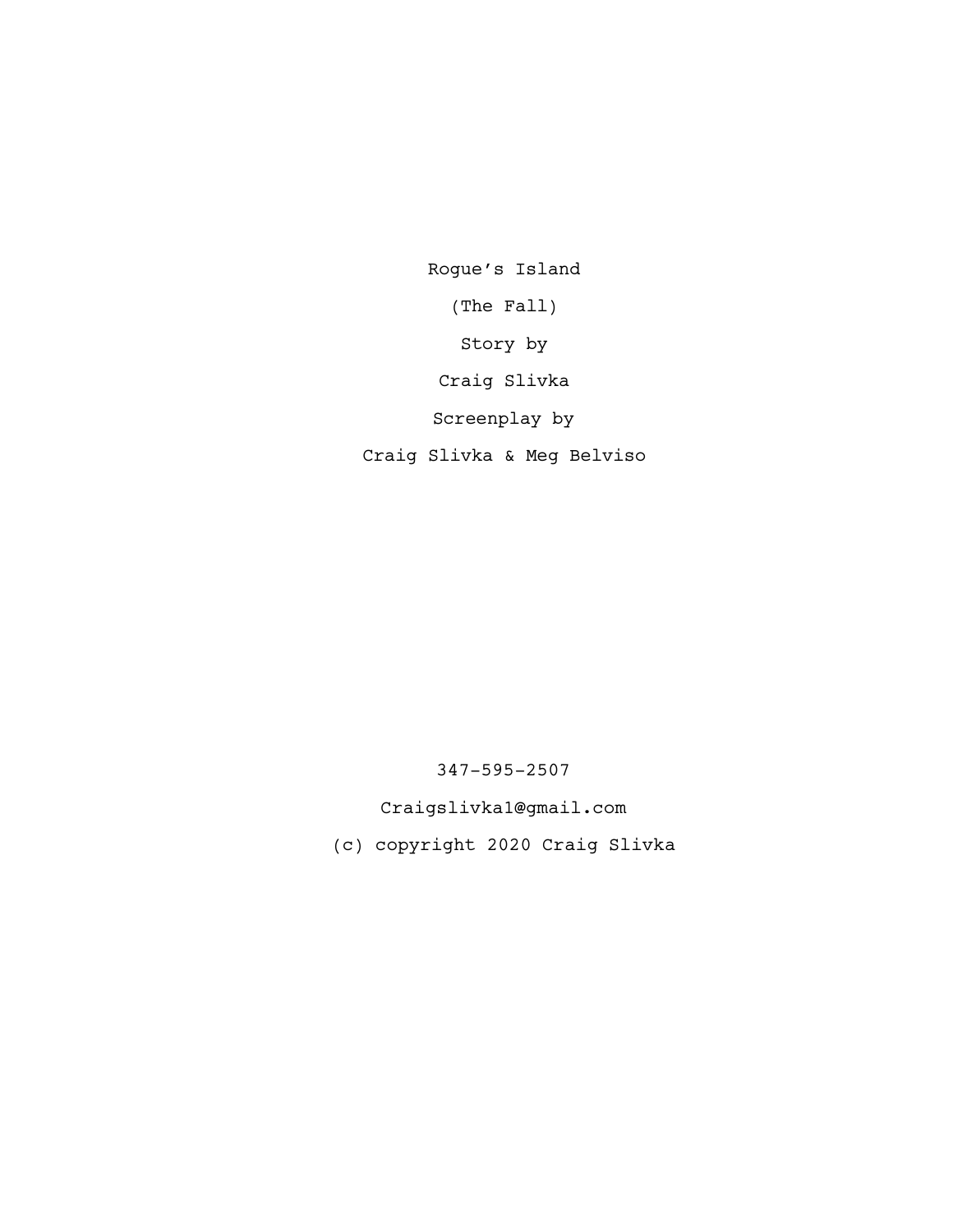Rogue's Island (The Fall) Story by Craig Slivka Screenplay by Craig Slivka & Meg Belviso

347-595-2507

Craigslivka1@gmail.com

(c) copyright 2020 Craig Slivka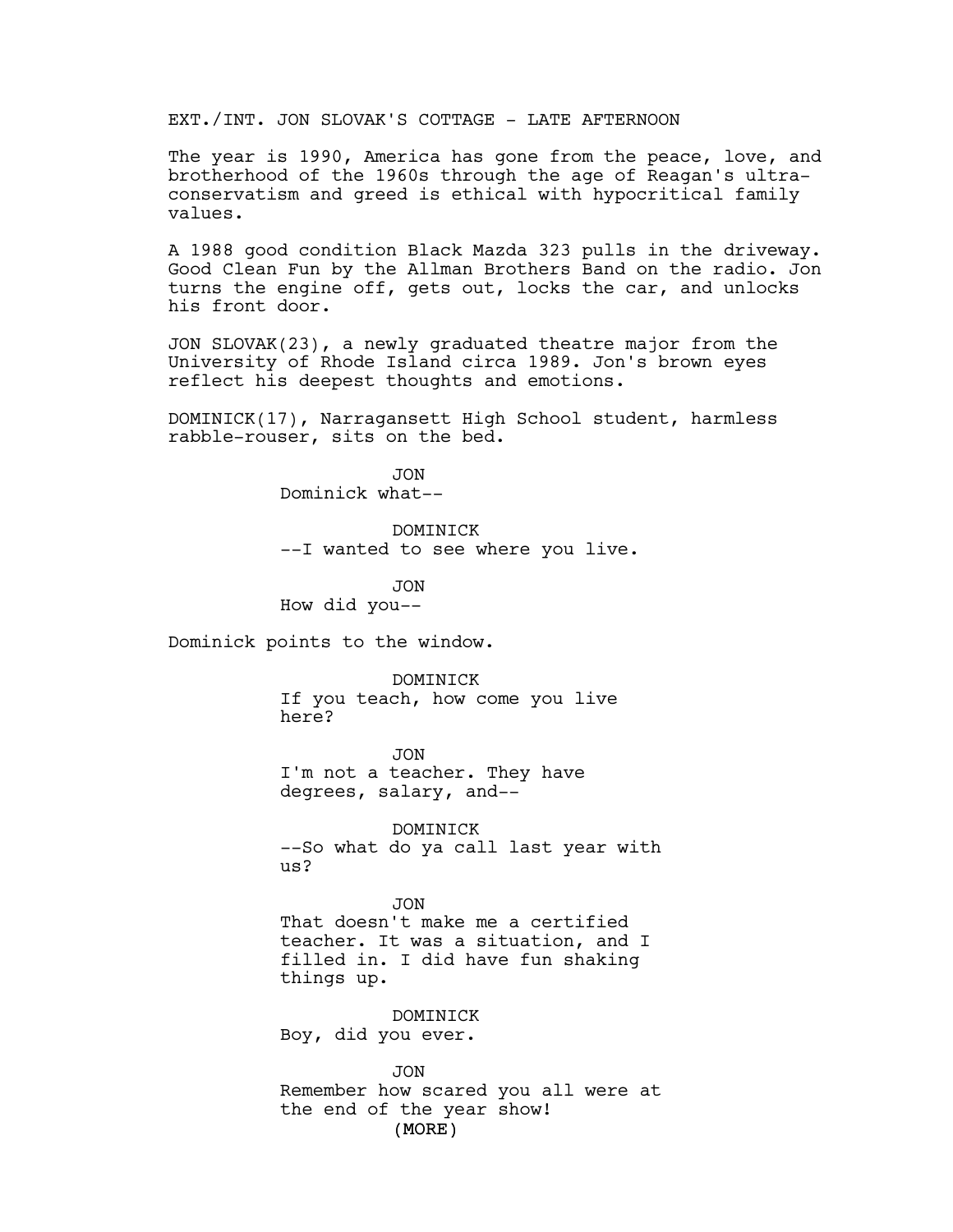EXT./INT. JON SLOVAK'S COTTAGE - LATE AFTERNOON

The year is 1990, America has gone from the peace, love, and brotherhood of the 1960s through the age of Reagan's ultraconservatism and greed is ethical with hypocritical family values.

A 1988 good condition Black Mazda 323 pulls in the driveway. Good Clean Fun by the Allman Brothers Band on the radio. Jon turns the engine off, gets out, locks the car, and unlocks his front door.

JON SLOVAK(23), a newly graduated theatre major from the University of Rhode Island circa 1989. Jon's brown eyes reflect his deepest thoughts and emotions.

DOMINICK(17), Narragansett High School student, harmless rabble-rouser, sits on the bed.

> JON Dominick what--

DOMINICK --I wanted to see where you live.

JON How did you--

Dominick points to the window.

DOMINICK If you teach, how come you live here?

JON I'm not a teacher. They have degrees, salary, and--

DOMINICK --So what do ya call last year with us?

JON That doesn't make me a certified teacher. It was a situation, and I filled in. I did have fun shaking things up.

DOMINICK Boy, did you ever.

(MORE) JON Remember how scared you all were at the end of the year show!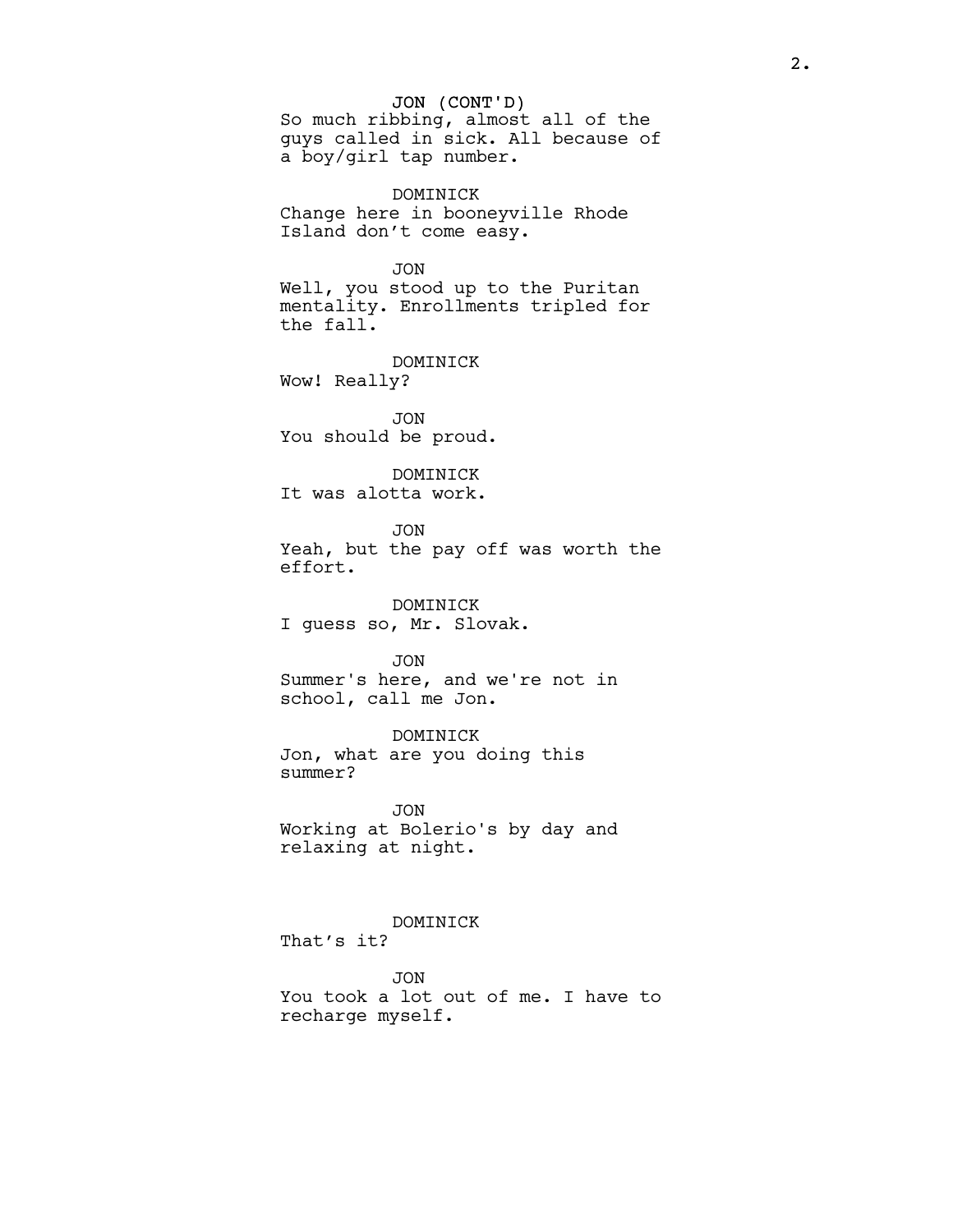## JON (CONT'D)

So much ribbing, almost all of the guys called in sick. All because of a boy/girl tap number.

DOMINICK Change here in booneyville Rhode Island don't come easy.

```
JON
```
Well, you stood up to the Puritan mentality. Enrollments tripled for the fall.

DOMINICK Wow! Really?

JON You should be proud.

DOMINICK It was alotta work.

JON Yeah, but the pay off was worth the effort.

DOMINICK I guess so, Mr. Slovak.

JON

Summer's here, and we're not in school, call me Jon.

DOMINICK Jon, what are you doing this summer?

JON Working at Bolerio's by day and relaxing at night.

DOMINICK That's it?

JON You took a lot out of me. I have to recharge myself.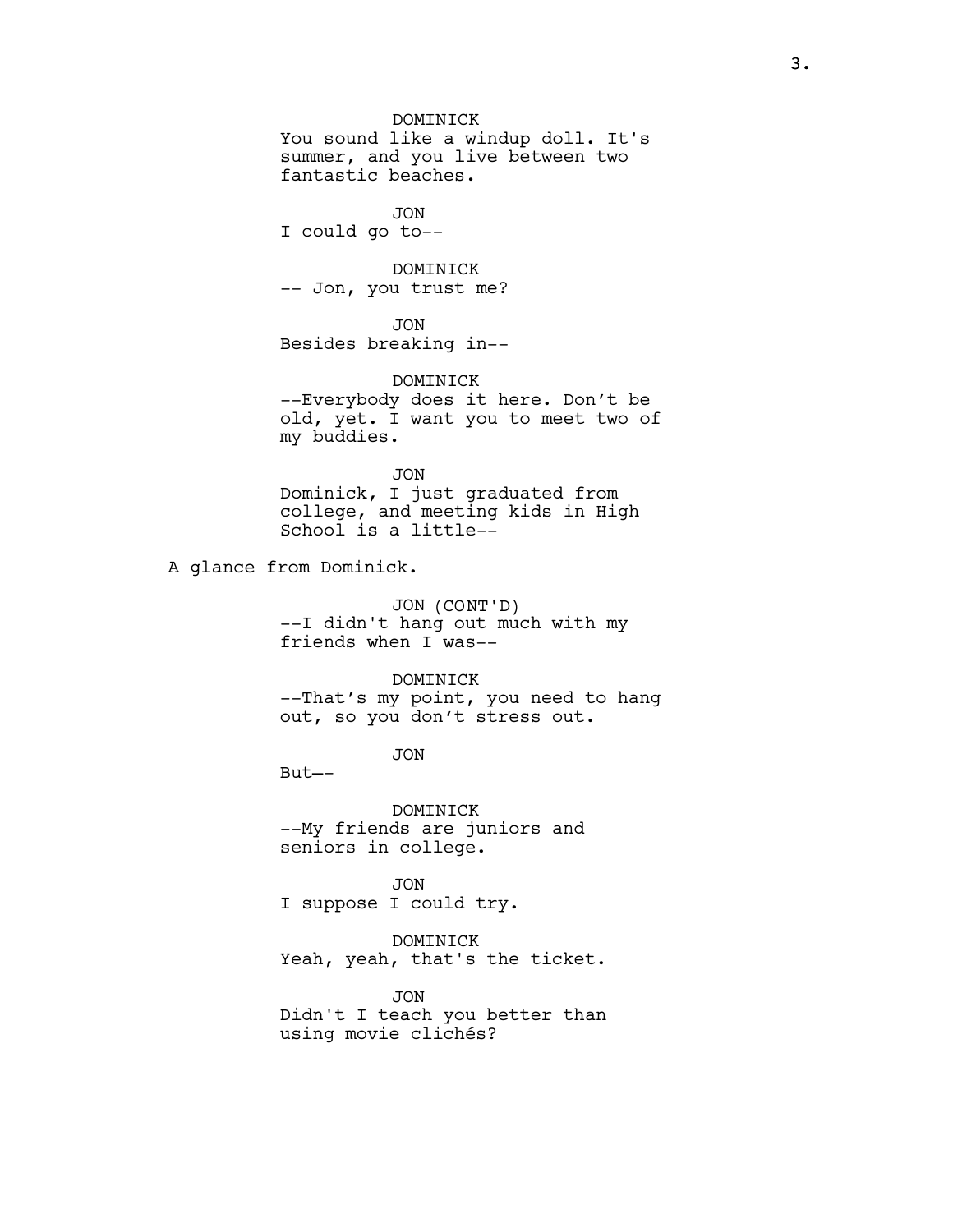## DOMINICK

You sound like a windup doll. It's summer, and you live between two fantastic beaches.

JON I could go to--

DOMINICK

-- Jon, you trust me?

JON Besides breaking in–-

DOMINICK –-Everybody does it here. Don't be old, yet. I want you to meet two of my buddies.

JON Dominick, I just graduated from college, and meeting kids in High School is a little--

A glance from Dominick.

JON (CONT'D) --I didn't hang out much with my friends when I was--

DOMINICK

--That's my point, you need to hang out, so you don't stress out.

JON

But—-

DOMINICK -–My friends are juniors and seniors in college.

JON I suppose I could try.

DOMINICK Yeah, yeah, that's the ticket.

JON Didn't I teach you better than using movie clichés?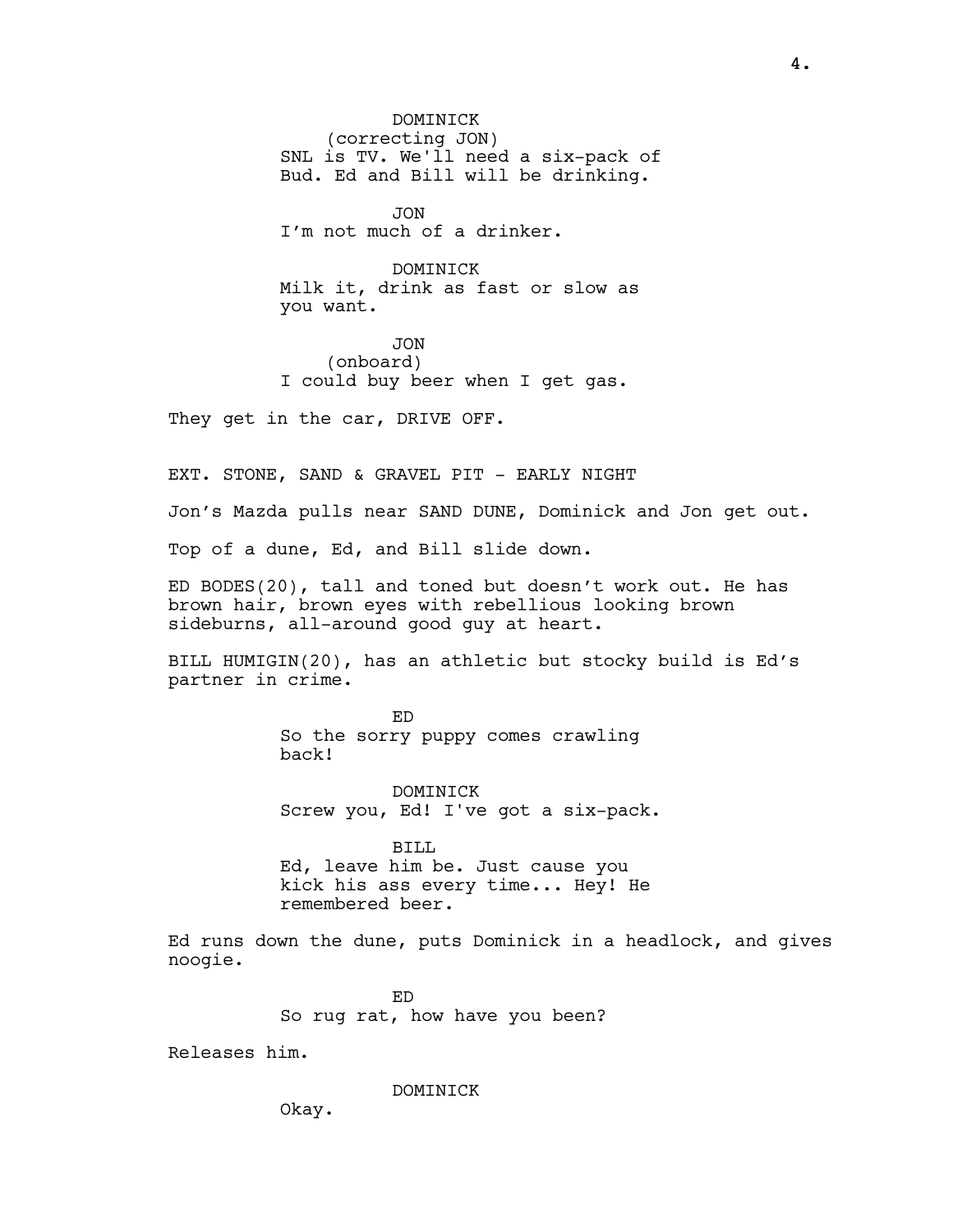DOMINICK (correcting JON) SNL is TV. We'll need a six-pack of Bud. Ed and Bill will be drinking.

JON I'm not much of a drinker.

**DOMINICK** Milk it, drink as fast or slow as you want.

JON (onboard) I could buy beer when I get gas.

They get in the car, DRIVE OFF.

EXT. STONE, SAND & GRAVEL PIT - EARLY NIGHT

Jon's Mazda pulls near SAND DUNE, Dominick and Jon get out.

Top of a dune, Ed, and Bill slide down.

ED BODES(20), tall and toned but doesn't work out. He has brown hair, brown eyes with rebellious looking brown sideburns, all-around good guy at heart.

BILL HUMIGIN(20), has an athletic but stocky build is Ed's partner in crime.

> ED So the sorry puppy comes crawling back!

DOMINICK Screw you, Ed! I've got a six-pack.

BILL

Ed, leave him be. Just cause you kick his ass every time... Hey! He remembered beer.

Ed runs down the dune, puts Dominick in a headlock, and gives noogie.

> ED So rug rat, how have you been?

Releases him.

**DOMINICK** 

Okay.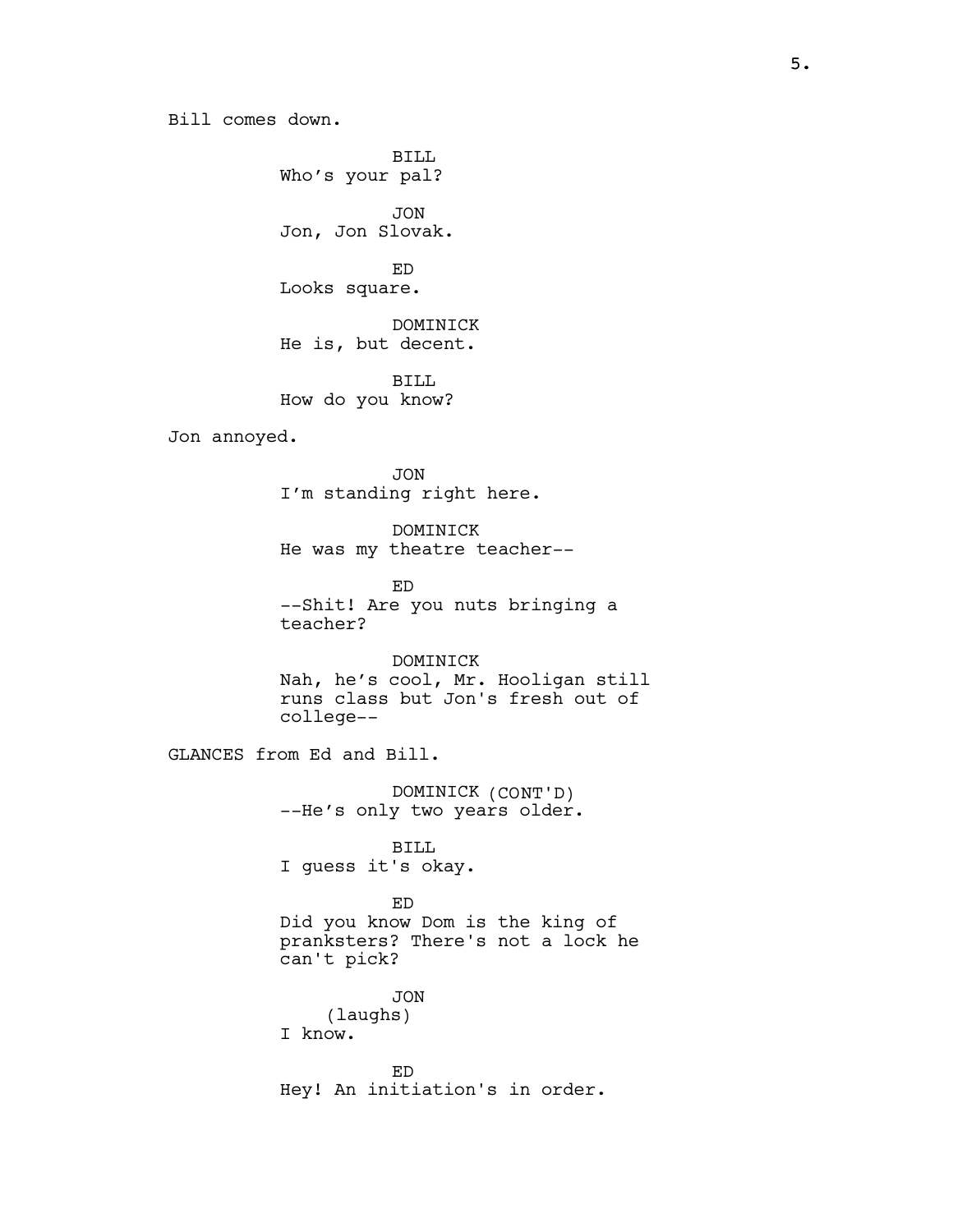Bill comes down.

BILL Who's your pal?

JON Jon, Jon Slovak.

ED Looks square.

DOMINICK He is, but decent.

BILL How do you know?

Jon annoyed.

JON I'm standing right here.

DOMINICK He was my theatre teacher--

ED --Shit! Are you nuts bringing a teacher?

DOMINICK Nah, he's cool, Mr. Hooligan still runs class but Jon's fresh out of college--

GLANCES from Ed and Bill.

DOMINICK (CONT'D) --He's only two years older.

BILL I guess it's okay.

## ED

Did you know Dom is the king of pranksters? There's not a lock he can't pick?

JON (laughs) I know.

ED Hey! An initiation's in order.